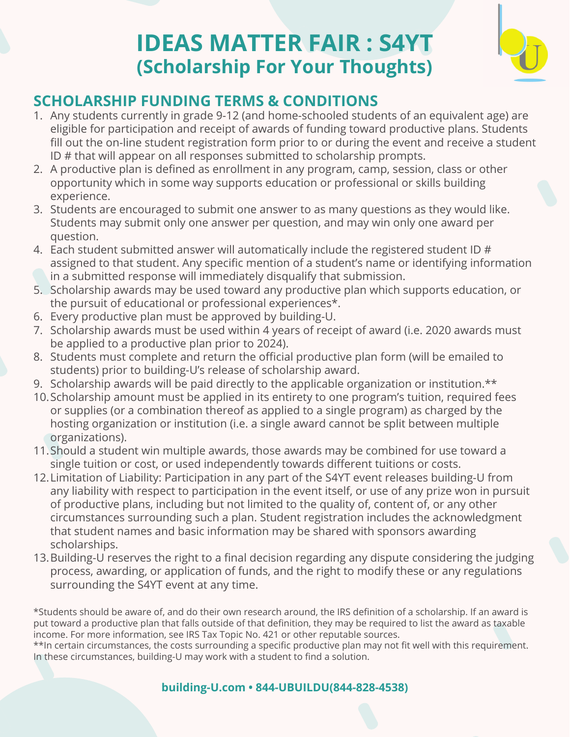# **IDEAS MATTER FAIR : S4YT (Scholarship For Your Thoughts)**



# **SCHOLARSHIP FUNDING TERMS & CONDITIONS**

- 1. Any students currently in grade 9-12 (and home-schooled students of an equivalent age) are eligible for participation and receipt of awards of funding toward productive plans. Students fill out the on-line student registration form prior to or during the event and receive a student ID # that will appear on all responses submitted to scholarship prompts.
- 2. A productive plan is defined as enrollment in any program, camp, session, class or other opportunity which in some way supports education or professional or skills building experience.
- 3. Students are encouraged to submit one answer to as many questions as they would like. Students may submit only one answer per question, and may win only one award per question.
- 4. Each student submitted answer will automatically include the registered student ID # assigned to that student. Any specific mention of a student's name or identifying information in a submitted response will immediately disqualify that submission.
- 5. Scholarship awards may be used toward any productive plan which supports education, or the pursuit of educational or professional experiences\*.
- 6. Every productive plan must be approved by building-U.
- 7. Scholarship awards must be used within 4 years of receipt of award (i.e. 2020 awards must be applied to a productive plan prior to 2024).
- 8. Students must complete and return the official productive plan form (will be emailed to students) prior to building-U's release of scholarship award.
- 9. Scholarship awards will be paid directly to the applicable organization or institution.\*\*
- 10. Scholarship amount must be applied in its entirety to one program's tuition, required fees or supplies (or a combination thereof as applied to a single program) as charged by the hosting organization or institution (i.e. a single award cannot be split between multiple organizations).
- 11. Should a student win multiple awards, those awards may be combined for use toward a single tuition or cost, or used independently towards different tuitions or costs.
- 12. Limitation of Liability: Participation in any part of the S4YT event releases building-U from any liability with respect to participation in the event itself, or use of any prize won in pursuit of productive plans, including but not limited to the quality of, content of, or any other circumstances surrounding such a plan. Student registration includes the acknowledgment that student names and basic information may be shared with sponsors awarding scholarships.
- 13. Building-U reserves the right to a final decision regarding any dispute considering the judging process, awarding, or application of funds, and the right to modify these or any regulations surrounding the S4YT event at any time.

\*Students should be aware of, and do their own research around, the IRS definition of a scholarship. If an award is put toward a productive plan that falls outside of that definition, they may be required to list the award as taxable income. For more information, see IRS Tax Topic No. 421 or other reputable sources.

\*\*In certain circumstances, the costs surrounding a specific productive plan may not fit well with this requirement. In these circumstances, building-U may work with a student to find a solution.

## **building-U.com • 844-UBUILDU(844-828-4538)**